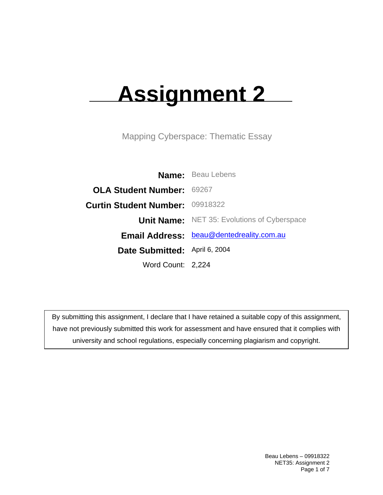## **Assignment 2**

Mapping Cyberspace: Thematic Essay

|                                        | <b>Name:</b> Beau Lebens                           |
|----------------------------------------|----------------------------------------------------|
| <b>OLA Student Number: 69267</b>       |                                                    |
| <b>Curtin Student Number: 09918322</b> |                                                    |
|                                        | <b>Unit Name:</b> NET 35: Evolutions of Cyberspace |
|                                        | <b>Email Address:</b> beau@dentedreality.com.au    |
| Date Submitted: April 6, 2004          |                                                    |
| Word Count: 2,224                      |                                                    |

By submitting this assignment, I declare that I have retained a suitable copy of this assignment, have not previously submitted this work for assessment and have ensured that it complies with university and school regulations, especially concerning plagiarism and copyright.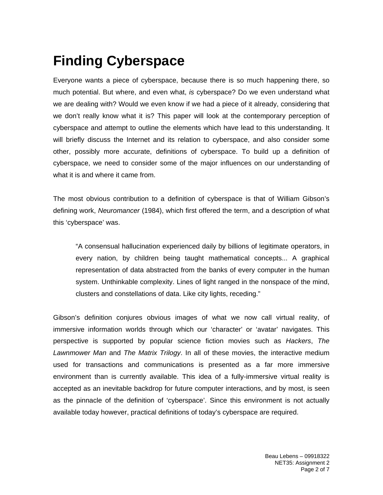## **Finding Cyberspace**

Everyone wants a piece of cyberspace, because there is so much happening there, so much potential. But where, and even what, *is* cyberspace? Do we even understand what we are dealing with? Would we even know if we had a piece of it already, considering that we don't really know what it is? This paper will look at the contemporary perception of cyberspace and attempt to outline the elements which have lead to this understanding. It will briefly discuss the Internet and its relation to cyberspace, and also consider some other, possibly more accurate, definitions of cyberspace. To build up a definition of cyberspace, we need to consider some of the major influences on our understanding of what it is and where it came from.

The most obvious contribution to a definition of cyberspace is that of William Gibson's defining work, *Neuromancer* (1984), which first offered the term, and a description of what this 'cyberspace' was.

"A consensual hallucination experienced daily by billions of legitimate operators, in every nation, by children being taught mathematical concepts... A graphical representation of data abstracted from the banks of every computer in the human system. Unthinkable complexity. Lines of light ranged in the nonspace of the mind, clusters and constellations of data. Like city lights, receding."

Gibson's definition conjures obvious images of what we now call virtual reality, of immersive information worlds through which our 'character' or 'avatar' navigates. This perspective is supported by popular science fiction movies such as *Hackers*, *The Lawnmower Man* and *The Matrix Trilogy*. In all of these movies, the interactive medium used for transactions and communications is presented as a far more immersive environment than is currently available. This idea of a fully-immersive virtual reality is accepted as an inevitable backdrop for future computer interactions, and by most, is seen as the pinnacle of the definition of 'cyberspace'. Since this environment is not actually available today however, practical definitions of today's cyberspace are required.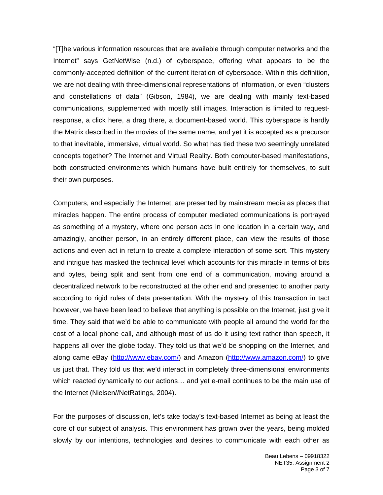"[T]he various information resources that are available through computer networks and the Internet" says GetNetWise (n.d.) of cyberspace, offering what appears to be the commonly-accepted definition of the current iteration of cyberspace. Within this definition, we are not dealing with three-dimensional representations of information, or even "clusters and constellations of data" (Gibson, 1984), we are dealing with mainly text-based communications, supplemented with mostly still images. Interaction is limited to requestresponse, a click here, a drag there, a document-based world. This cyberspace is hardly the Matrix described in the movies of the same name, and yet it is accepted as a precursor to that inevitable, immersive, virtual world. So what has tied these two seemingly unrelated concepts together? The Internet and Virtual Reality. Both computer-based manifestations, both constructed environments which humans have built entirely for themselves, to suit their own purposes.

Computers, and especially the Internet, are presented by mainstream media as places that miracles happen. The entire process of computer mediated communications is portrayed as something of a mystery, where one person acts in one location in a certain way, and amazingly, another person, in an entirely different place, can view the results of those actions and even act in return to create a complete interaction of some sort. This mystery and intrigue has masked the technical level which accounts for this miracle in terms of bits and bytes, being split and sent from one end of a communication, moving around a decentralized network to be reconstructed at the other end and presented to another party according to rigid rules of data presentation. With the mystery of this transaction in tact however, we have been lead to believe that anything is possible on the Internet, just give it time. They said that we'd be able to communicate with people all around the world for the cost of a local phone call, and although most of us do it using text rather than speech, it happens all over the globe today. They told us that we'd be shopping on the Internet, and along came eBay ([http://www.ebay.com/\)](http://www.ebay.com/) and Amazon (<http://www.amazon.com/>) to give us just that. They told us that we'd interact in completely three-dimensional environments which reacted dynamically to our actions… and yet e-mail continues to be the main use of the Internet (Nielsen//NetRatings, 2004).

For the purposes of discussion, let's take today's text-based Internet as being at least the core of our subject of analysis. This environment has grown over the years, being molded slowly by our intentions, technologies and desires to communicate with each other as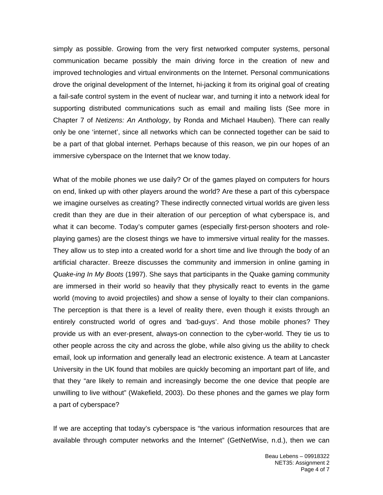simply as possible. Growing from the very first networked computer systems, personal communication became possibly the main driving force in the creation of new and improved technologies and virtual environments on the Internet. Personal communications drove the original development of the Internet, hi-jacking it from its original goal of creating a fail-safe control system in the event of nuclear war, and turning it into a network ideal for supporting distributed communications such as email and mailing lists (See more in Chapter 7 of *Netizens: An Anthology*, by Ronda and Michael Hauben). There can really only be one 'internet', since all networks which can be connected together can be said to be a part of that global internet. Perhaps because of this reason, we pin our hopes of an immersive cyberspace on the Internet that we know today.

What of the mobile phones we use daily? Or of the games played on computers for hours on end, linked up with other players around the world? Are these a part of this cyberspace we imagine ourselves as creating? These indirectly connected virtual worlds are given less credit than they are due in their alteration of our perception of what cyberspace is, and what it can become. Today's computer games (especially first-person shooters and roleplaying games) are the closest things we have to immersive virtual reality for the masses. They allow us to step into a created world for a short time and live through the body of an artificial character. Breeze discusses the community and immersion in online gaming in *Quake-ing In My Boots* (1997). She says that participants in the Quake gaming community are immersed in their world so heavily that they physically react to events in the game world (moving to avoid projectiles) and show a sense of loyalty to their clan companions. The perception is that there is a level of reality there, even though it exists through an entirely constructed world of ogres and 'bad-guys'. And those mobile phones? They provide us with an ever-present, always-on connection to the cyber-world. They tie us to other people across the city and across the globe, while also giving us the ability to check email, look up information and generally lead an electronic existence. A team at Lancaster University in the UK found that mobiles are quickly becoming an important part of life, and that they "are likely to remain and increasingly become the one device that people are unwilling to live without" (Wakefield, 2003). Do these phones and the games we play form a part of cyberspace?

If we are accepting that today's cyberspace is "the various information resources that are available through computer networks and the Internet" (GetNetWise, n.d.), then we can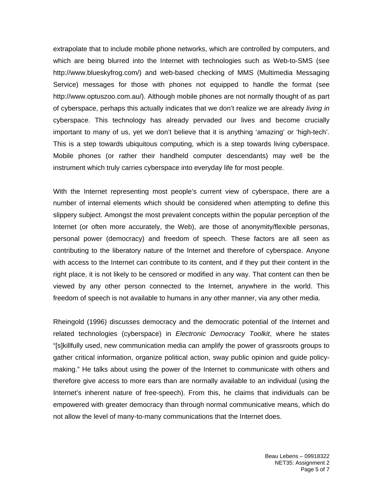extrapolate that to include mobile phone networks, which are controlled by computers, and which are being blurred into the Internet with technologies such as Web-to-SMS (see [http://www.blueskyfrog.com/\)](http://www.blueskyfrog.com/) and web-based checking of MMS (Multimedia Messaging Service) messages for those with phones not equipped to handle the format (see <http://www.optuszoo.com.au/>). Although mobile phones are not normally thought of as part of cyberspace, perhaps this actually indicates that we don't realize we are already *living in*  cyberspace. This technology has already pervaded our lives and become crucially important to many of us, yet we don't believe that it is anything 'amazing' or 'high-tech'. This is a step towards ubiquitous computing, which is a step towards living cyberspace. Mobile phones (or rather their handheld computer descendants) may well be the instrument which truly carries cyberspace into everyday life for most people.

With the Internet representing most people's current view of cyberspace, there are a number of internal elements which should be considered when attempting to define this slippery subject. Amongst the most prevalent concepts within the popular perception of the Internet (or often more accurately, the Web), are those of anonymity/flexible personas, personal power (democracy) and freedom of speech. These factors are all seen as contributing to the liberatory nature of the Internet and therefore of cyberspace. Anyone with access to the Internet can contribute to its content, and if they put their content in the right place, it is not likely to be censored or modified in any way. That content can then be viewed by any other person connected to the Internet, anywhere in the world. This freedom of speech is not available to humans in any other manner, via any other media.

Rheingold (1996) discusses democracy and the democratic potential of the Internet and related technologies (cyberspace) in *Electronic Democracy Toolkit*, where he states "[s]killfully used, new communication media can amplify the power of grassroots groups to gather critical information, organize political action, sway public opinion and guide policymaking." He talks about using the power of the Internet to communicate with others and therefore give access to more ears than are normally available to an individual (using the Internet's inherent nature of free-speech). From this, he claims that individuals can be empowered with greater democracy than through normal communicative means, which do not allow the level of many-to-many communications that the Internet does.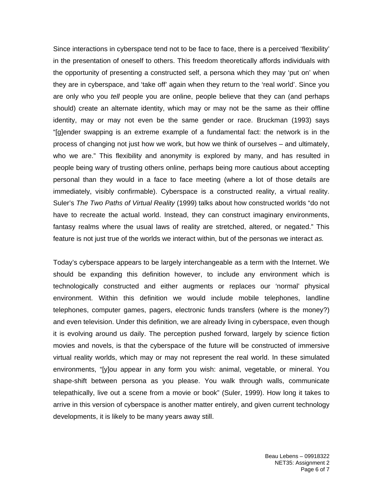Since interactions in cyberspace tend not to be face to face, there is a perceived 'flexibility' in the presentation of oneself to others. This freedom theoretically affords individuals with the opportunity of presenting a constructed self, a persona which they may 'put on' when they are in cyberspace, and 'take off' again when they return to the 'real world'. Since you are only who you *tell* people you are online, people believe that they can (and perhaps should) create an alternate identity, which may or may not be the same as their offline identity, may or may not even be the same gender or race. Bruckman (1993) says "[g]ender swapping is an extreme example of a fundamental fact: the network is in the process of changing not just how we work, but how we think of ourselves – and ultimately, who we are." This flexibility and anonymity is explored by many, and has resulted in people being wary of trusting others online, perhaps being more cautious about accepting personal than they would in a face to face meeting (where a lot of those details are immediately, visibly confirmable). Cyberspace is a constructed reality, a virtual reality. Suler's *The Two Paths of Virtual Reality* (1999) talks about how constructed worlds "do not have to recreate the actual world. Instead, they can construct imaginary environments, fantasy realms where the usual laws of reality are stretched, altered, or negated." This feature is not just true of the worlds we interact within, but of the personas we interact *as.*

Today's cyberspace appears to be largely interchangeable as a term with the Internet. We should be expanding this definition however, to include any environment which is technologically constructed and either augments or replaces our 'normal' physical environment. Within this definition we would include mobile telephones, landline telephones, computer games, pagers, electronic funds transfers (where is the money?) and even television. Under this definition, we are already living in cyberspace, even though it is evolving around us daily. The perception pushed forward, largely by science fiction movies and novels, is that the cyberspace of the future will be constructed of immersive virtual reality worlds, which may or may not represent the real world. In these simulated environments, "[y]ou appear in any form you wish: animal, vegetable, or mineral. You shape-shift between persona as you please. You walk through walls, communicate telepathically, live out a scene from a movie or book" (Suler, 1999). How long it takes to arrive in this version of cyberspace is another matter entirely, and given current technology developments, it is likely to be many years away still.